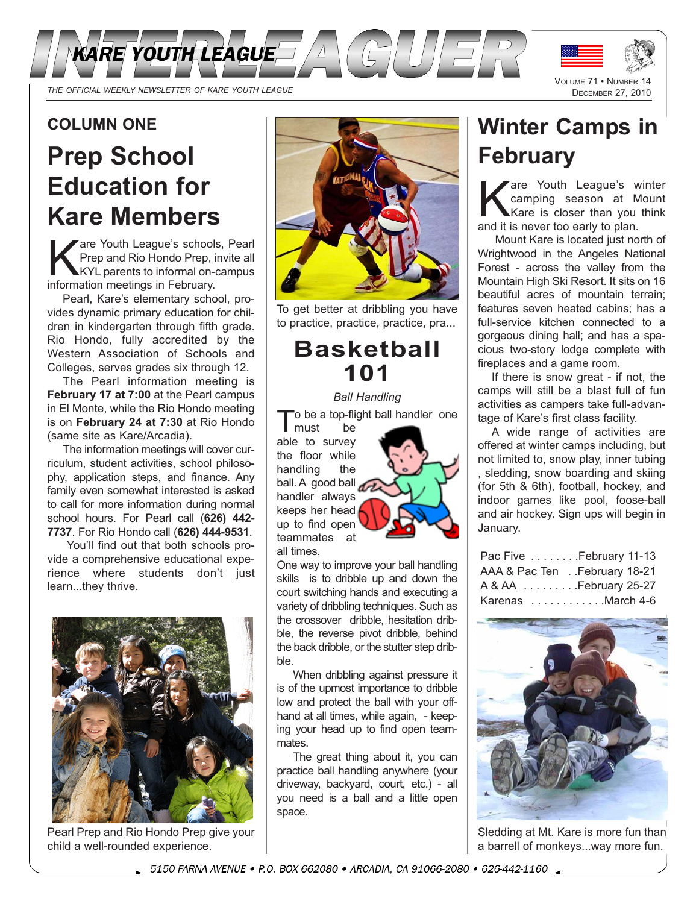



# **COLUMN ONE**

# **Prep School Education for Kare Members**

are Youth League's schools, Pearl Prep and Rio Hondo Prep, invite all KYL parents to informal on-campus information meetings in February.

Pearl, Kare's elementary school, provides dynamic primary education for children in kindergarten through fifth grade. Rio Hondo, fully accredited by the Western Association of Schools and Colleges, serves grades six through 12.

The Pearl information meeting is **February 17 at 7:00** at the Pearl campus in El Monte, while the Rio Hondo meeting is on **February 24 at 7:30** at Rio Hondo (same site as Kare/Arcadia).

The information meetings will cover curriculum, student activities, school philosophy, application steps, and finance. Any family even somewhat interested is asked to call for more information during normal school hours. For Pearl call (**626) 442- 7737**. For Rio Hondo call (**626) 444-9531**.

You'll find out that both schools provide a comprehensive educational experience where students don't just learn...they thrive.



Pearl Prep and Rio Hondo Prep give your child a well-rounded experience.



To get better at dribbling you have to practice, practice, practice, pra...

# **Basketball 101**

#### *Ball Handling*

the a top-flight ball handler one<br>must be

 $\mathsf{I}$  must able to survey the floor while handling the ball. A good ball handler always keeps her head up to find open teammates at all times.

One way to improve your ball handling skills is to dribble up and down the court switching hands and executing a variety of dribbling techniques. Such as the crossover dribble, hesitation dribble, the reverse pivot dribble, behind the back dribble, or the stutter step dribble.

When dribbling against pressure it is of the upmost importance to dribble low and protect the ball with your offhand at all times, while again, - keeping your head up to find open teammates.

The great thing about it, you can practice ball handling anywhere (your driveway, backyard, court, etc.) - all you need is a ball and a little open space.

# **Winter Camps in February**

are Youth League's winter camping season at Mount Kare is closer than you think and it is never too early to plan.

Mount Kare is located just north of Wrightwood in the Angeles National Forest - across the valley from the Mountain High Ski Resort. It sits on 16 beautiful acres of mountain terrain; features seven heated cabins; has a full-service kitchen connected to a gorgeous dining hall; and has a spacious two-story lodge complete with fireplaces and a game room.

If there is snow great - if not, the camps will still be a blast full of fun activities as campers take full-advantage of Kare's first class facility.

A wide range of activities are offered at winter camps including, but not limited to, snow play, inner tubing , sledding, snow boarding and skiing (for 5th & 6th), football, hockey, and indoor games like pool, foose-ball and air hockey. Sign ups will begin in January.

| Pac Five February 11-13      |
|------------------------------|
| AAA & Pac Ten February 18-21 |
| A & AA February 25-27        |
| Karenas March 4-6            |



Sledding at Mt. Kare is more fun than a barrell of monkeys...way more fun.